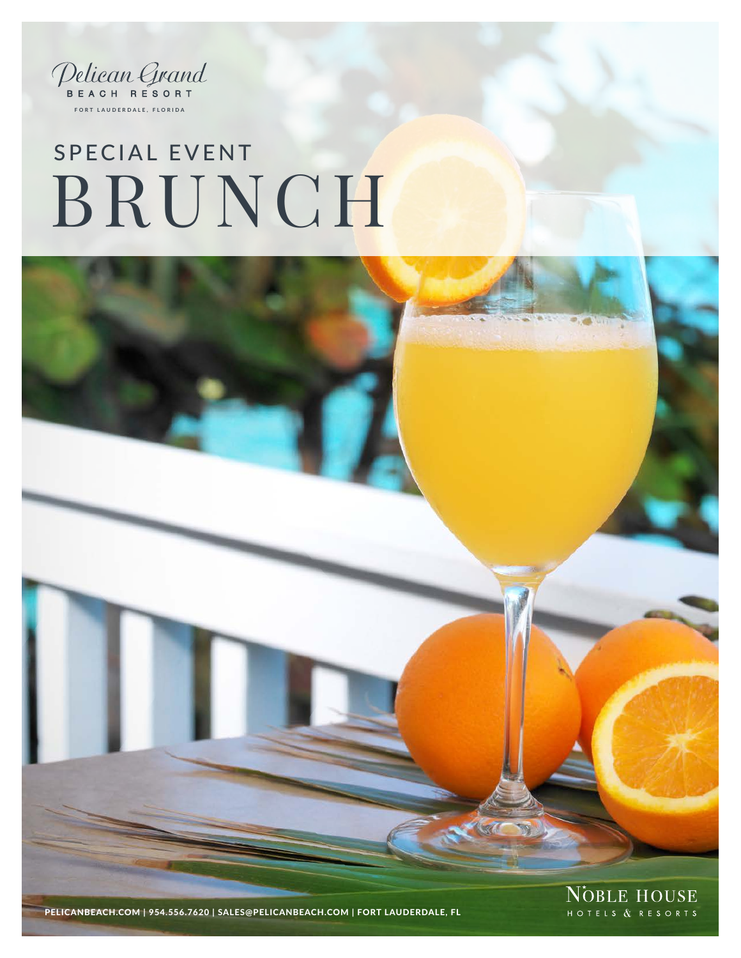

# BRUNCH SPECIAL EVENT



PELICANBEACH.COM | 954.556.7620 | SALES@PELICANBEACH.COM | FORT LAUDERDALE, FL